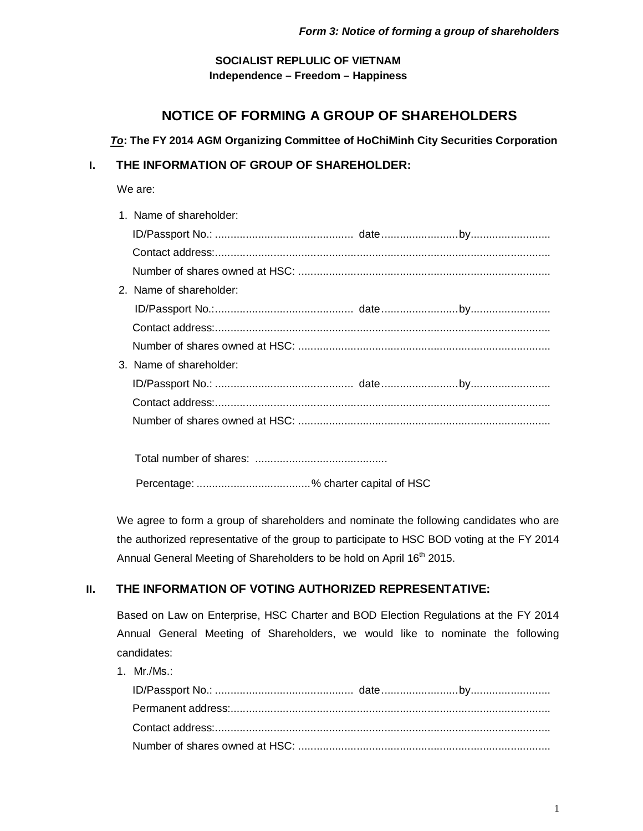# **SOCIALIST REPLULIC OF VIETNAM Independence – Freedom – Happiness**

# **NOTICE OF FORMING A GROUP OF SHAREHOLDERS**

### *To***: The FY 2014 AGM Organizing Committee of HoChiMinh City Securities Corporation**

# **I. THE INFORMATION OF GROUP OF SHAREHOLDER:**

We are:

| 1. Name of shareholder: |  |
|-------------------------|--|
|                         |  |
|                         |  |
|                         |  |
| 2. Name of shareholder: |  |
|                         |  |
|                         |  |
|                         |  |
| 3. Name of shareholder: |  |
|                         |  |
|                         |  |
|                         |  |
|                         |  |
|                         |  |
|                         |  |

Percentage: .....................................% charter capital of HSC

We agree to form a group of shareholders and nominate the following candidates who are the authorized representative of the group to participate to HSC BOD voting at the FY 2014 Annual General Meeting of Shareholders to be hold on April 16<sup>th</sup> 2015.

# **II. THE INFORMATION OF VOTING AUTHORIZED REPRESENTATIVE:**

Based on Law on Enterprise, HSC Charter and BOD Election Regulations at the FY 2014 Annual General Meeting of Shareholders, we would like to nominate the following candidates:

1. Mr./Ms.: